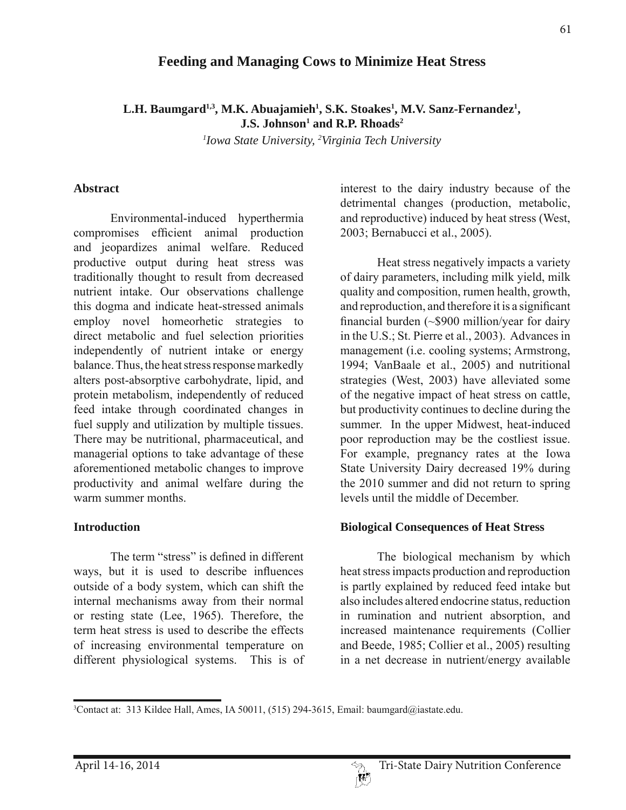# **Feeding and Managing Cows to Minimize Heat Stress**

L.H. Baumgard<sup>1,3</sup>, M.K. Abuajamieh<sup>1</sup>, S.K. Stoakes<sup>1</sup>, M.V. Sanz-Fernandez<sup>1</sup>, **J.S. Johnson<sup>1</sup> and R.P. Rhoads<sup>2</sup>** 

*1 Iowa State University, 2 Virginia Tech University*

#### **Abstract**

 Environmental-induced hyperthermia compromises efficient animal production and jeopardizes animal welfare. Reduced productive output during heat stress was traditionally thought to result from decreased nutrient intake. Our observations challenge this dogma and indicate heat-stressed animals employ novel homeorhetic strategies to direct metabolic and fuel selection priorities independently of nutrient intake or energy balance. Thus, the heat stress response markedly alters post-absorptive carbohydrate, lipid, and protein metabolism, independently of reduced feed intake through coordinated changes in fuel supply and utilization by multiple tissues. There may be nutritional, pharmaceutical, and managerial options to take advantage of these aforementioned metabolic changes to improve productivity and animal welfare during the warm summer months

### **Introduction**

The term "stress" is defined in different ways, but it is used to describe influences outside of a body system, which can shift the internal mechanisms away from their normal or resting state (Lee, 1965). Therefore, the term heat stress is used to describe the effects of increasing environmental temperature on different physiological systems. This is of interest to the dairy industry because of the detrimental changes (production, metabolic, and reproductive) induced by heat stress (West, 2003; Bernabucci et al., 2005).

 Heat stress negatively impacts a variety of dairy parameters, including milk yield, milk quality and composition, rumen health, growth, and reproduction, and therefore it is a significant financial burden  $\sim$ \$900 million/year for dairy in the U.S.; St. Pierre et al., 2003). Advances in management (i.e. cooling systems; Armstrong, 1994; VanBaale et al., 2005) and nutritional strategies (West, 2003) have alleviated some of the negative impact of heat stress on cattle, but productivity continues to decline during the summer. In the upper Midwest, heat-induced poor reproduction may be the costliest issue. For example, pregnancy rates at the Iowa State University Dairy decreased 19% during the 2010 summer and did not return to spring levels until the middle of December.

### **Biological Consequences of Heat Stress**

 The biological mechanism by which heat stress impacts production and reproduction is partly explained by reduced feed intake but also includes altered endocrine status, reduction in rumination and nutrient absorption, and increased maintenance requirements (Collier and Beede, 1985; Collier et al., 2005) resulting in a net decrease in nutrient/energy available

<sup>3</sup> Contact at: 313 Kildee Hall, Ames, IA 50011, (515) 294-3615, Email: baumgard@iastate.edu.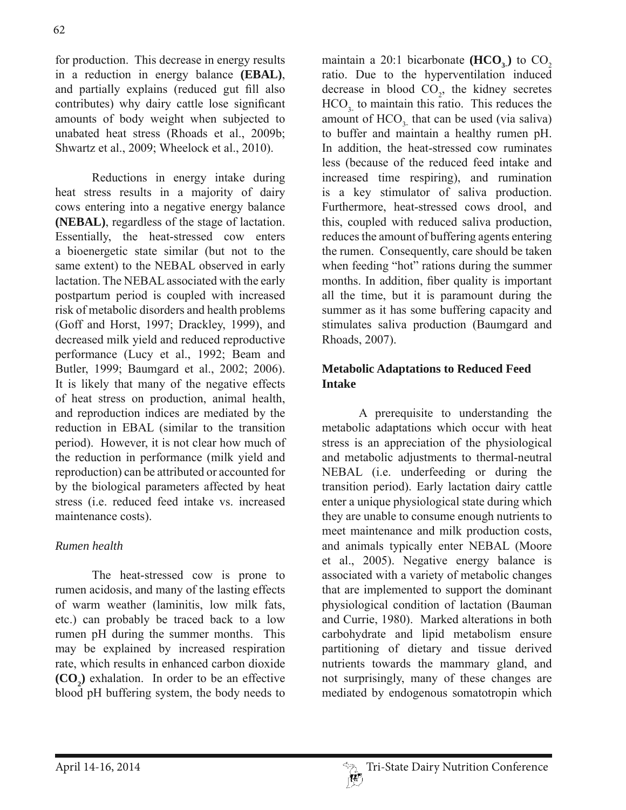for production. This decrease in energy results in a reduction in energy balance **(EBAL)**, and partially explains (reduced gut fill also contributes) why dairy cattle lose significant amounts of body weight when subjected to unabated heat stress (Rhoads et al., 2009b; Shwartz et al., 2009; Wheelock et al., 2010).

 Reductions in energy intake during heat stress results in a majority of dairy cows entering into a negative energy balance **(NEBAL)**, regardless of the stage of lactation. Essentially, the heat-stressed cow enters a bioenergetic state similar (but not to the same extent) to the NEBAL observed in early lactation. The NEBAL associated with the early postpartum period is coupled with increased risk of metabolic disorders and health problems (Goff and Horst, 1997; Drackley, 1999), and decreased milk yield and reduced reproductive performance (Lucy et al., 1992; Beam and Butler, 1999; Baumgard et al., 2002; 2006). It is likely that many of the negative effects of heat stress on production, animal health, and reproduction indices are mediated by the reduction in EBAL (similar to the transition period). However, it is not clear how much of the reduction in performance (milk yield and reproduction) can be attributed or accounted for by the biological parameters affected by heat stress (i.e. reduced feed intake vs. increased maintenance costs).

## *Rumen health*

 The heat-stressed cow is prone to rumen acidosis, and many of the lasting effects of warm weather (laminitis, low milk fats, etc.) can probably be traced back to a low rumen pH during the summer months. This may be explained by increased respiration rate, which results in enhanced carbon dioxide  $(CO_2)$  exhalation. In order to be an effective blood pH buffering system, the body needs to

maintain a  $20:1$  bicarbonate  $(HCO<sub>2</sub>)$  to  $CO<sub>2</sub>$ ratio. Due to the hyperventilation induced decrease in blood  $CO<sub>2</sub>$ , the kidney secretes  $HCO<sub>3</sub>$  to maintain this ratio. This reduces the amount of  $HCO<sub>3</sub>$  that can be used (via saliva) to buffer and maintain a healthy rumen pH. In addition, the heat-stressed cow ruminates less (because of the reduced feed intake and increased time respiring), and rumination is a key stimulator of saliva production. Furthermore, heat-stressed cows drool, and this, coupled with reduced saliva production, reduces the amount of buffering agents entering the rumen. Consequently, care should be taken when feeding "hot" rations during the summer months. In addition, fiber quality is important all the time, but it is paramount during the summer as it has some buffering capacity and stimulates saliva production (Baumgard and Rhoads, 2007).

### **Metabolic Adaptations to Reduced Feed Intake**

 A prerequisite to understanding the metabolic adaptations which occur with heat stress is an appreciation of the physiological and metabolic adjustments to thermal-neutral NEBAL (i.e. underfeeding or during the transition period). Early lactation dairy cattle enter a unique physiological state during which they are unable to consume enough nutrients to meet maintenance and milk production costs, and animals typically enter NEBAL (Moore et al., 2005). Negative energy balance is associated with a variety of metabolic changes that are implemented to support the dominant physiological condition of lactation (Bauman and Currie, 1980). Marked alterations in both carbohydrate and lipid metabolism ensure partitioning of dietary and tissue derived nutrients towards the mammary gland, and not surprisingly, many of these changes are mediated by endogenous somatotropin which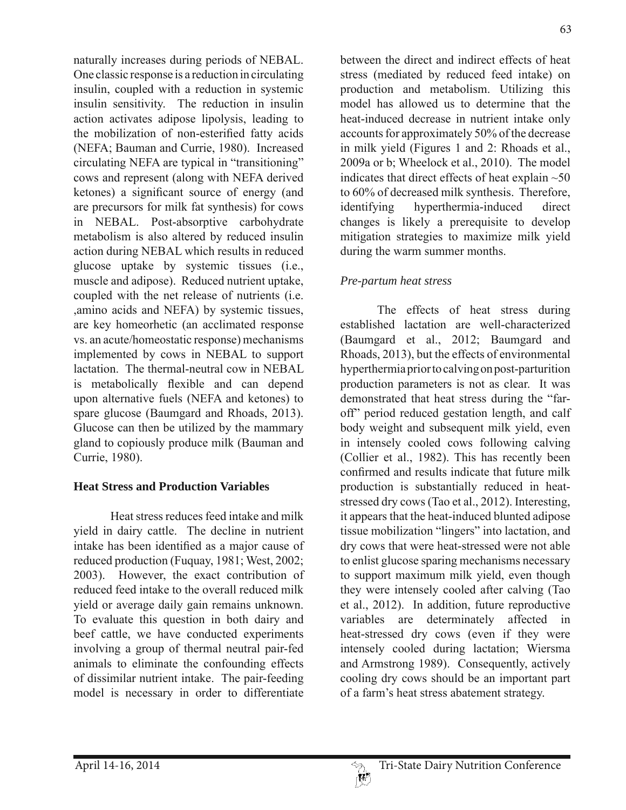naturally increases during periods of NEBAL. One classic response is a reduction in circulating insulin, coupled with a reduction in systemic insulin sensitivity. The reduction in insulin action activates adipose lipolysis, leading to the mobilization of non-esterified fatty acids (NEFA; Bauman and Currie, 1980). Increased circulating NEFA are typical in "transitioning" cows and represent (along with NEFA derived ketones) a significant source of energy (and are precursors for milk fat synthesis) for cows in NEBAL. Post-absorptive carbohydrate metabolism is also altered by reduced insulin action during NEBAL which results in reduced glucose uptake by systemic tissues (i.e., muscle and adipose). Reduced nutrient uptake, coupled with the net release of nutrients (i.e. ,amino acids and NEFA) by systemic tissues, are key homeorhetic (an acclimated response vs. an acute/homeostatic response) mechanisms implemented by cows in NEBAL to support lactation. The thermal-neutral cow in NEBAL is metabolically flexible and can depend upon alternative fuels (NEFA and ketones) to spare glucose (Baumgard and Rhoads, 2013). Glucose can then be utilized by the mammary gland to copiously produce milk (Bauman and Currie, 1980).

### **Heat Stress and Production Variables**

 Heat stress reduces feed intake and milk yield in dairy cattle. The decline in nutrient intake has been identified as a major cause of reduced production (Fuquay, 1981; West, 2002; 2003). However, the exact contribution of reduced feed intake to the overall reduced milk yield or average daily gain remains unknown. To evaluate this question in both dairy and beef cattle, we have conducted experiments involving a group of thermal neutral pair-fed animals to eliminate the confounding effects of dissimilar nutrient intake. The pair-feeding model is necessary in order to differentiate

between the direct and indirect effects of heat stress (mediated by reduced feed intake) on production and metabolism. Utilizing this model has allowed us to determine that the heat-induced decrease in nutrient intake only accounts for approximately 50% of the decrease in milk yield (Figures 1 and 2: Rhoads et al., 2009a or b; Wheelock et al., 2010). The model indicates that direct effects of heat explain  $~50$ to 60% of decreased milk synthesis. Therefore, identifying hyperthermia-induced direct changes is likely a prerequisite to develop mitigation strategies to maximize milk yield during the warm summer months.

# *Pre-partum heat stress*

 The effects of heat stress during established lactation are well-characterized (Baumgard et al., 2012; Baumgard and Rhoads, 2013), but the effects of environmental hyperthermia prior to calving on post-parturition production parameters is not as clear. It was demonstrated that heat stress during the "faroff" period reduced gestation length, and calf body weight and subsequent milk yield, even in intensely cooled cows following calving (Collier et al., 1982). This has recently been confirmed and results indicate that future milk production is substantially reduced in heatstressed dry cows (Tao et al., 2012). Interesting, it appears that the heat-induced blunted adipose tissue mobilization "lingers" into lactation, and dry cows that were heat-stressed were not able to enlist glucose sparing mechanisms necessary to support maximum milk yield, even though they were intensely cooled after calving (Tao et al., 2012). In addition, future reproductive variables are determinately affected in heat-stressed dry cows (even if they were intensely cooled during lactation; Wiersma and Armstrong 1989). Consequently, actively cooling dry cows should be an important part of a farm's heat stress abatement strategy.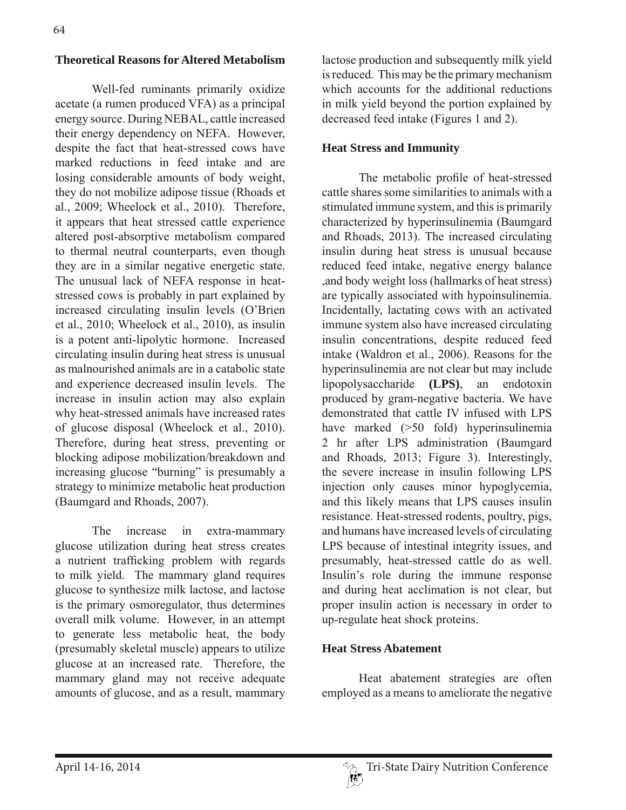#### **Theoretical Reasons for Altered Metabolism**

 Well-fed ruminants primarily oxidize acetate (a rumen produced VFA) as a principal energy source. During NEBAL, cattle increased their energy dependency on NEFA. However, despite the fact that heat-stressed cows have marked reductions in feed intake and are losing considerable amounts of body weight, they do not mobilize adipose tissue (Rhoads et al., 2009; Wheelock et al., 2010). Therefore, it appears that heat stressed cattle experience altered post-absorptive metabolism compared to thermal neutral counterparts, even though they are in a similar negative energetic state. The unusual lack of NEFA response in heatstressed cows is probably in part explained by increased circulating insulin levels (O'Brien et al., 2010; Wheelock et al., 2010), as insulin is a potent anti-lipolytic hormone. Increased circulating insulin during heat stress is unusual as malnourished animals are in a catabolic state and experience decreased insulin levels. The increase in insulin action may also explain why heat-stressed animals have increased rates of glucose disposal (Wheelock et al., 2010). Therefore, during heat stress, preventing or blocking adipose mobilization/breakdown and increasing glucose "burning" is presumably a strategy to minimize metabolic heat production (Baumgard and Rhoads, 2007).

 The increase in extra-mammary glucose utilization during heat stress creates a nutrient trafficking problem with regards to milk yield. The mammary gland requires glucose to synthesize milk lactose, and lactose is the primary osmoregulator, thus determines overall milk volume. However, in an attempt to generate less metabolic heat, the body (presumably skeletal muscle) appears to utilize glucose at an increased rate. Therefore, the mammary gland may not receive adequate amounts of glucose, and as a result, mammary

lactose production and subsequently milk yield is reduced. This may be the primary mechanism which accounts for the additional reductions in milk yield beyond the portion explained by decreased feed intake (Figures 1 and 2).

#### **Heat Stress and Immunity**

The metabolic profile of heat-stressed cattle shares some similarities to animals with a stimulated immune system, and this is primarily characterized by hyperinsulinemia (Baumgard and Rhoads, 2013). The increased circulating insulin during heat stress is unusual because reduced feed intake, negative energy balance ,and body weight loss (hallmarks of heat stress) are typically associated with hypoinsulinemia. Incidentally, lactating cows with an activated immune system also have increased circulating insulin concentrations, despite reduced feed intake (Waldron et al., 2006). Reasons for the hyperinsulinemia are not clear but may include lipopolysaccharide **(LPS)**, an endotoxin produced by gram-negative bacteria. We have demonstrated that cattle IV infused with LPS have marked ( $>50$  fold) hyperinsulinemia 2 hr after LPS administration (Baumgard and Rhoads, 2013; Figure 3). Interestingly, the severe increase in insulin following LPS injection only causes minor hypoglycemia, and this likely means that LPS causes insulin resistance. Heat-stressed rodents, poultry, pigs, and humans have increased levels of circulating LPS because of intestinal integrity issues, and presumably, heat-stressed cattle do as well. Insulin's role during the immune response and during heat acclimation is not clear, but proper insulin action is necessary in order to up-regulate heat shock proteins.

#### **Heat Stress Abatement**

 Heat abatement strategies are often employed as a means to ameliorate the negative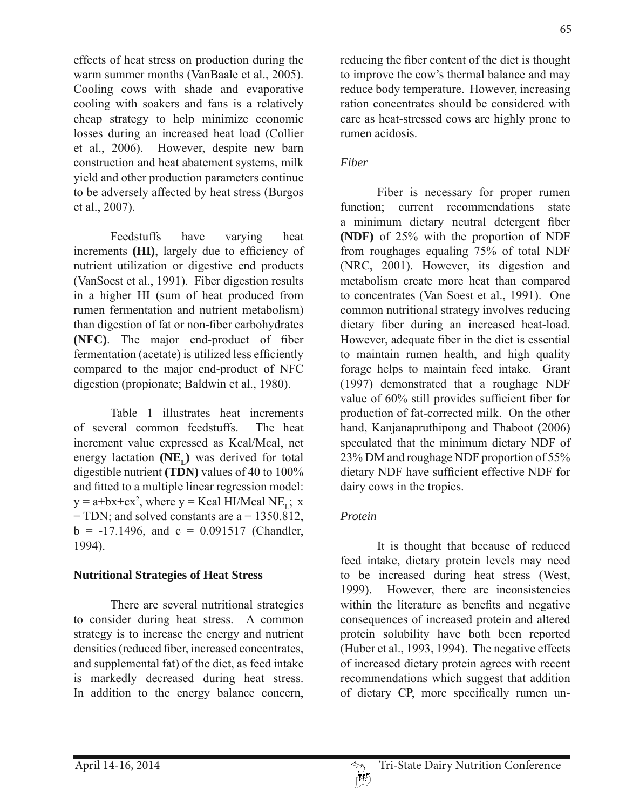effects of heat stress on production during the warm summer months (VanBaale et al., 2005). Cooling cows with shade and evaporative cooling with soakers and fans is a relatively cheap strategy to help minimize economic losses during an increased heat load (Collier et al., 2006). However, despite new barn construction and heat abatement systems, milk yield and other production parameters continue to be adversely affected by heat stress (Burgos et al., 2007).

 Feedstuffs have varying heat increments **(HI)**, largely due to efficiency of nutrient utilization or digestive end products (VanSoest et al., 1991). Fiber digestion results in a higher HI (sum of heat produced from rumen fermentation and nutrient metabolism) than digestion of fat or non-fiber carbohydrates **(NFC)**. The major end-product of fiber fermentation (acetate) is utilized less efficiently compared to the major end-product of NFC digestion (propionate; Baldwin et al., 1980).

 Table 1 illustrates heat increments of several common feedstuffs. The heat increment value expressed as Kcal/Mcal, net energy lactation  $(NE<sub>r</sub>)$  was derived for total digestible nutrient **(TDN)** values of 40 to 100% and fitted to a multiple linear regression model:  $y = a + bx + cx^2$ , where  $y = Kcal$  HI/Mcal NE<sub>L</sub>; x  $=$  TDN; and solved constants are a  $=$  1350.812,  $b = -17.1496$ , and  $c = 0.091517$  (Chandler, 1994).

### **Nutritional Strategies of Heat Stress**

 There are several nutritional strategies to consider during heat stress. A common strategy is to increase the energy and nutrient densities (reduced fiber, increased concentrates, and supplemental fat) of the diet, as feed intake is markedly decreased during heat stress. In addition to the energy balance concern,

reducing the fiber content of the diet is thought to improve the cow's thermal balance and may reduce body temperature. However, increasing ration concentrates should be considered with care as heat-stressed cows are highly prone to rumen acidosis.

### *Fiber*

 Fiber is necessary for proper rumen function; current recommendations state a minimum dietary neutral detergent fiber **(NDF)** of 25% with the proportion of NDF from roughages equaling 75% of total NDF (NRC, 2001). However, its digestion and metabolism create more heat than compared to concentrates (Van Soest et al., 1991). One common nutritional strategy involves reducing dietary fiber during an increased heat-load. However, adequate fiber in the diet is essential to maintain rumen health, and high quality forage helps to maintain feed intake. Grant (1997) demonstrated that a roughage NDF value of  $60\%$  still provides sufficient fiber for production of fat-corrected milk. On the other hand, Kanjanapruthipong and Thaboot (2006) speculated that the minimum dietary NDF of 23% DM and roughage NDF proportion of 55% dietary NDF have sufficient effective NDF for dairy cows in the tropics.

## *Protein*

 It is thought that because of reduced feed intake, dietary protein levels may need to be increased during heat stress (West, 1999). However, there are inconsistencies within the literature as benefits and negative consequences of increased protein and altered protein solubility have both been reported (Huber et al., 1993, 1994). The negative effects of increased dietary protein agrees with recent recommendations which suggest that addition of dietary CP, more specifically rumen un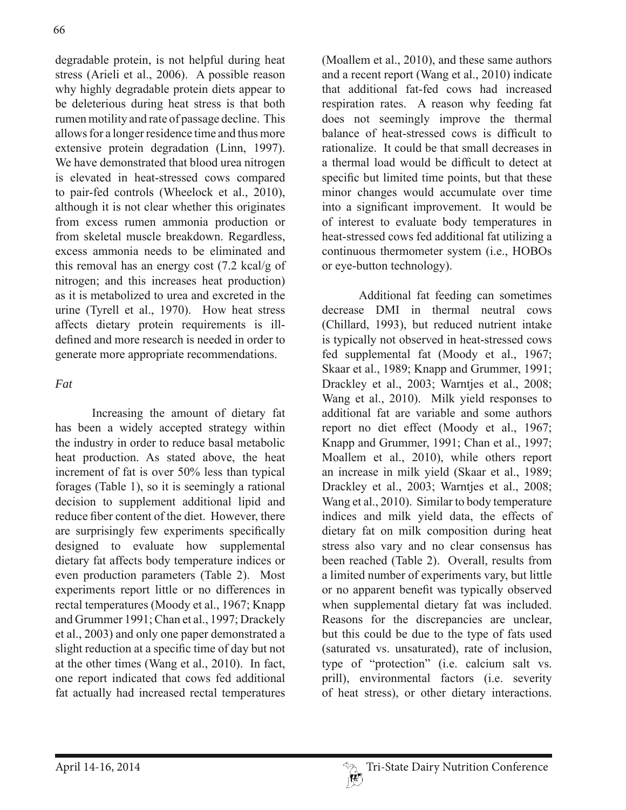degradable protein, is not helpful during heat stress (Arieli et al., 2006). A possible reason why highly degradable protein diets appear to be deleterious during heat stress is that both rumen motility and rate of passage decline. This allows for a longer residence time and thus more extensive protein degradation (Linn, 1997). We have demonstrated that blood urea nitrogen is elevated in heat-stressed cows compared to pair-fed controls (Wheelock et al., 2010), although it is not clear whether this originates from excess rumen ammonia production or from skeletal muscle breakdown. Regardless, excess ammonia needs to be eliminated and this removal has an energy cost (7.2 kcal/g of nitrogen; and this increases heat production) as it is metabolized to urea and excreted in the urine (Tyrell et al., 1970). How heat stress affects dietary protein requirements is illdefined and more research is needed in order to generate more appropriate recommendations.

### *Fat*

 Increasing the amount of dietary fat has been a widely accepted strategy within the industry in order to reduce basal metabolic heat production. As stated above, the heat increment of fat is over 50% less than typical forages (Table 1), so it is seemingly a rational decision to supplement additional lipid and reduce fiber content of the diet. However, there are surprisingly few experiments specifically designed to evaluate how supplemental dietary fat affects body temperature indices or even production parameters (Table 2). Most experiments report little or no differences in rectal temperatures (Moody et al., 1967; Knapp and Grummer 1991; Chan et al., 1997; Drackely et al., 2003) and only one paper demonstrated a slight reduction at a specific time of day but not at the other times (Wang et al., 2010). In fact, one report indicated that cows fed additional fat actually had increased rectal temperatures

(Moallem et al., 2010), and these same authors and a recent report (Wang et al., 2010) indicate that additional fat-fed cows had increased respiration rates. A reason why feeding fat does not seemingly improve the thermal balance of heat-stressed cows is difficult to rationalize. It could be that small decreases in a thermal load would be difficult to detect at specific but limited time points, but that these minor changes would accumulate over time into a significant improvement. It would be of interest to evaluate body temperatures in heat-stressed cows fed additional fat utilizing a continuous thermometer system (i.e., HOBOs or eye-button technology).

 Additional fat feeding can sometimes decrease DMI in thermal neutral cows (Chillard, 1993), but reduced nutrient intake is typically not observed in heat-stressed cows fed supplemental fat (Moody et al., 1967; Skaar et al., 1989; Knapp and Grummer, 1991; Drackley et al., 2003; Warntjes et al., 2008; Wang et al., 2010). Milk yield responses to additional fat are variable and some authors report no diet effect (Moody et al., 1967; Knapp and Grummer, 1991; Chan et al., 1997; Moallem et al., 2010), while others report an increase in milk yield (Skaar et al., 1989; Drackley et al., 2003; Warntjes et al., 2008; Wang et al., 2010). Similar to body temperature indices and milk yield data, the effects of dietary fat on milk composition during heat stress also vary and no clear consensus has been reached (Table 2). Overall, results from a limited number of experiments vary, but little or no apparent benefit was typically observed when supplemental dietary fat was included. Reasons for the discrepancies are unclear, but this could be due to the type of fats used (saturated vs. unsaturated), rate of inclusion, type of "protection" (i.e. calcium salt vs. prill), environmental factors (i.e. severity of heat stress), or other dietary interactions.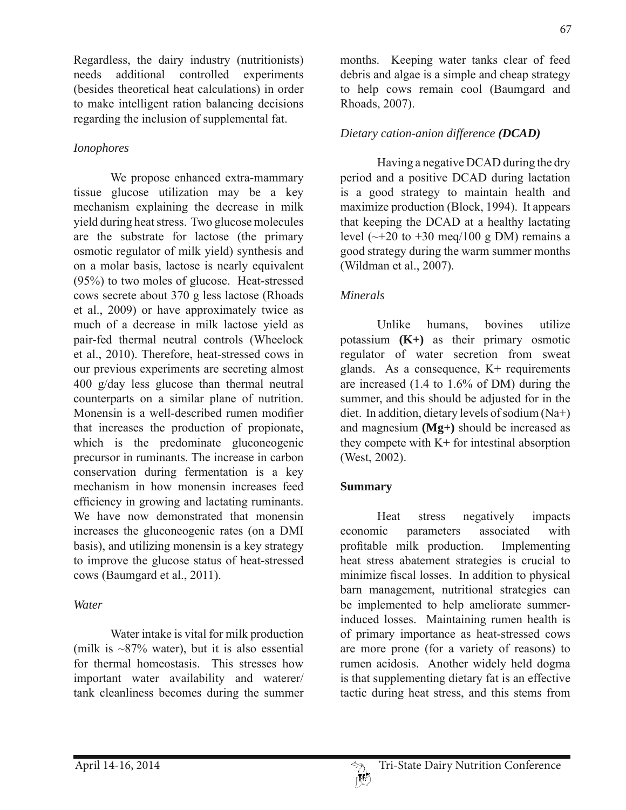Regardless, the dairy industry (nutritionists) needs additional controlled experiments (besides theoretical heat calculations) in order to make intelligent ration balancing decisions regarding the inclusion of supplemental fat.

### *Ionophores*

 We propose enhanced extra-mammary tissue glucose utilization may be a key mechanism explaining the decrease in milk yield during heat stress. Two glucose molecules are the substrate for lactose (the primary osmotic regulator of milk yield) synthesis and on a molar basis, lactose is nearly equivalent (95%) to two moles of glucose. Heat-stressed cows secrete about 370 g less lactose (Rhoads et al., 2009) or have approximately twice as much of a decrease in milk lactose yield as pair-fed thermal neutral controls (Wheelock et al., 2010). Therefore, heat-stressed cows in our previous experiments are secreting almost 400 g/day less glucose than thermal neutral counterparts on a similar plane of nutrition. Monensin is a well-described rumen modifier that increases the production of propionate, which is the predominate gluconeogenic precursor in ruminants. The increase in carbon conservation during fermentation is a key mechanism in how monensin increases feed efficiency in growing and lactating ruminants. We have now demonstrated that monensin increases the gluconeogenic rates (on a DMI basis), and utilizing monensin is a key strategy to improve the glucose status of heat-stressed cows (Baumgard et al., 2011).

## *Water*

 Water intake is vital for milk production (milk is  $\sim$ 87% water), but it is also essential for thermal homeostasis. This stresses how important water availability and waterer/ tank cleanliness becomes during the summer months. Keeping water tanks clear of feed debris and algae is a simple and cheap strategy to help cows remain cool (Baumgard and Rhoads, 2007).

# *Dietary cation-anion difference (DCAD)*

 Having a negative DCAD during the dry period and a positive DCAD during lactation is a good strategy to maintain health and maximize production (Block, 1994). It appears that keeping the DCAD at a healthy lactating level  $(\sim +20 \text{ to } +30 \text{ meg}/100 \text{ g DM})$  remains a good strategy during the warm summer months (Wildman et al., 2007).

## *Minerals*

 Unlike humans, bovines utilize potassium **(K+)** as their primary osmotic regulator of water secretion from sweat glands. As a consequence,  $K<sup>+</sup>$  requirements are increased (1.4 to 1.6% of DM) during the summer, and this should be adjusted for in the diet. In addition, dietary levels of sodium (Na+) and magnesium **(Mg+)** should be increased as they compete with K+ for intestinal absorption (West, 2002).

## **Summary**

 Heat stress negatively impacts economic parameters associated with profitable milk production. Implementing heat stress abatement strategies is crucial to minimize fiscal losses. In addition to physical barn management, nutritional strategies can be implemented to help ameliorate summerinduced losses. Maintaining rumen health is of primary importance as heat-stressed cows are more prone (for a variety of reasons) to rumen acidosis. Another widely held dogma is that supplementing dietary fat is an effective tactic during heat stress, and this stems from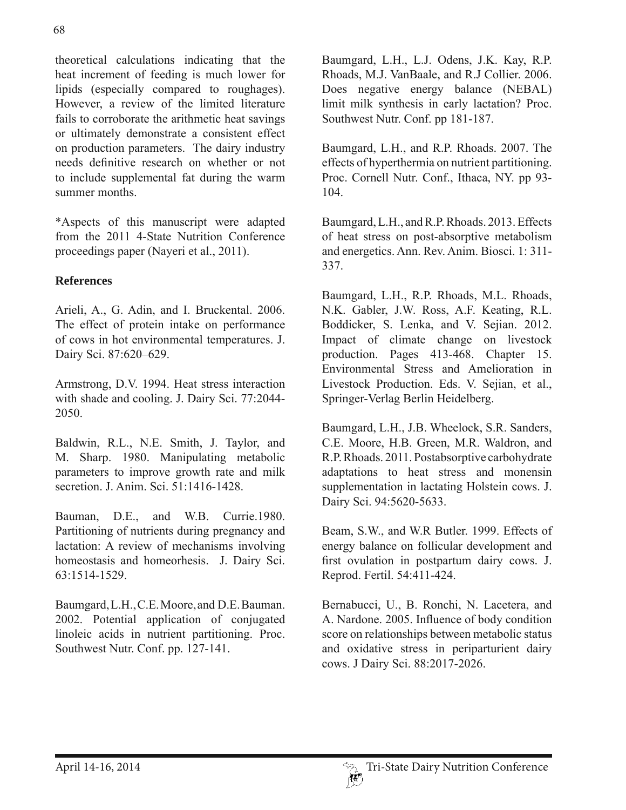theoretical calculations indicating that the heat increment of feeding is much lower for lipids (especially compared to roughages). However, a review of the limited literature fails to corroborate the arithmetic heat savings or ultimately demonstrate a consistent effect on production parameters. The dairy industry needs definitive research on whether or not to include supplemental fat during the warm summer months.

\*Aspects of this manuscript were adapted from the 2011 4-State Nutrition Conference proceedings paper (Nayeri et al., 2011).

### **References**

Arieli, A., G. Adin, and I. Bruckental. 2006. The effect of protein intake on performance of cows in hot environmental temperatures. J. Dairy Sci. 87:620–629.

Armstrong, D.V. 1994. Heat stress interaction with shade and cooling. J. Dairy Sci. 77:2044- 2050.

Baldwin, R.L., N.E. Smith, J. Taylor, and M. Sharp. 1980. Manipulating metabolic parameters to improve growth rate and milk secretion. J. Anim. Sci. 51:1416-1428.

Bauman, D.E., and W.B. Currie.1980. Partitioning of nutrients during pregnancy and lactation: A review of mechanisms involving homeostasis and homeorhesis. J. Dairy Sci. 63:1514-1529.

Baumgard, L.H., C.E. Moore, and D.E. Bauman. 2002. Potential application of conjugated linoleic acids in nutrient partitioning. Proc. Southwest Nutr. Conf. pp. 127-141.

Baumgard, L.H., L.J. Odens, J.K. Kay, R.P. Rhoads, M.J. VanBaale, and R.J Collier. 2006. Does negative energy balance (NEBAL) limit milk synthesis in early lactation? Proc. Southwest Nutr. Conf. pp 181-187.

Baumgard, L.H., and R.P. Rhoads. 2007. The effects of hyperthermia on nutrient partitioning. Proc. Cornell Nutr. Conf., Ithaca, NY. pp 93- 104.

Baumgard, L.H., and R.P. Rhoads. 2013. Effects of heat stress on post-absorptive metabolism and energetics. Ann. Rev. Anim. Biosci. 1: 311- 337.

Baumgard, L.H., R.P. Rhoads, M.L. Rhoads, N.K. Gabler, J.W. Ross, A.F. Keating, R.L. Boddicker, S. Lenka, and V. Sejian. 2012. Impact of climate change on livestock production. Pages 413-468. Chapter 15. Environmental Stress and Amelioration in Livestock Production. Eds. V. Sejian, et al., Springer-Verlag Berlin Heidelberg.

Baumgard, L.H., J.B. Wheelock, S.R. Sanders, C.E. Moore, H.B. Green, M.R. Waldron, and R.P. Rhoads. 2011. Postabsorptive carbohydrate adaptations to heat stress and monensin supplementation in lactating Holstein cows. J. Dairy Sci. 94:5620-5633.

Beam, S.W., and W.R Butler. 1999. Effects of energy balance on follicular development and first ovulation in postpartum dairy cows. J. Reprod. Fertil. 54:411-424.

Bernabucci, U., B. Ronchi, N. Lacetera, and A. Nardone. 2005. Influence of body condition score on relationships between metabolic status and oxidative stress in periparturient dairy cows. J Dairy Sci. 88:2017-2026.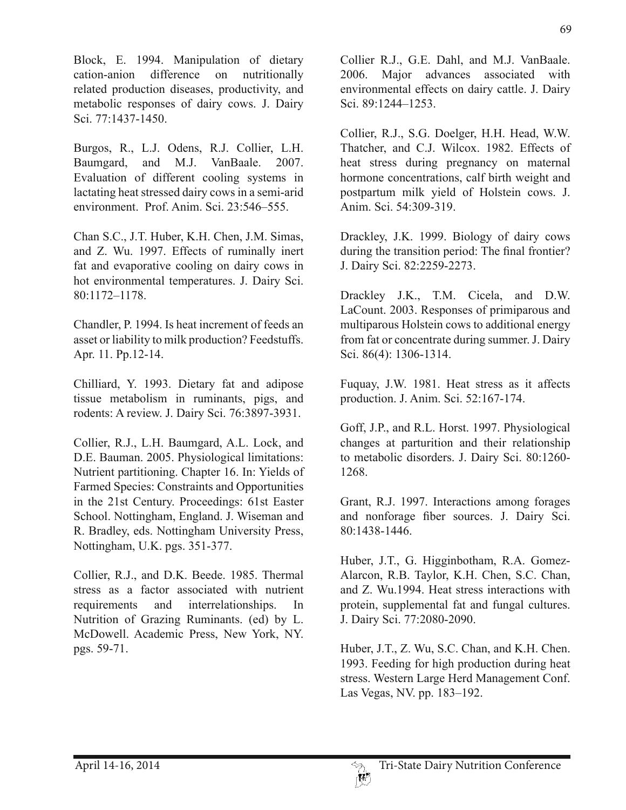Block, E. 1994. Manipulation of dietary cation-anion difference on nutritionally related production diseases, productivity, and metabolic responses of dairy cows. J. Dairy Sci. 77:1437-1450.

Burgos, R., L.J. Odens, R.J. Collier, L.H. Baumgard, and M.J. VanBaale. 2007. Evaluation of different cooling systems in lactating heat stressed dairy cows in a semi-arid environment. Prof. Anim. Sci. 23:546–555.

Chan S.C., J.T. Huber, K.H. Chen, J.M. Simas, and Z. Wu. 1997. Effects of ruminally inert fat and evaporative cooling on dairy cows in hot environmental temperatures. J. Dairy Sci. 80:1172–1178.

Chandler, P. 1994. Is heat increment of feeds an asset or liability to milk production? Feedstuffs. Apr. 11. Pp.12-14.

Chilliard, Y. 1993. Dietary fat and adipose tissue metabolism in ruminants, pigs, and rodents: A review. J. Dairy Sci. 76:3897-3931.

Collier, R.J., L.H. Baumgard, A.L. Lock, and D.E. Bauman. 2005. Physiological limitations: Nutrient partitioning. Chapter 16. In: Yields of Farmed Species: Constraints and Opportunities in the 21st Century. Proceedings: 61st Easter School. Nottingham, England. J. Wiseman and R. Bradley, eds. Nottingham University Press, Nottingham, U.K. pgs. 351-377.

Collier, R.J., and D.K. Beede. 1985. Thermal stress as a factor associated with nutrient requirements and interrelationships. In Nutrition of Grazing Ruminants. (ed) by L. McDowell. Academic Press, New York, NY. pgs. 59-71.

Collier R.J., G.E. Dahl, and M.J. VanBaale. 2006. Major advances associated with environmental effects on dairy cattle. J. Dairy Sci. 89:1244–1253.

Collier, R.J., S.G. Doelger, H.H. Head, W.W. Thatcher, and C.J. Wilcox. 1982. Effects of heat stress during pregnancy on maternal hormone concentrations, calf birth weight and postpartum milk yield of Holstein cows. J. Anim. Sci. 54:309-319.

Drackley, J.K. 1999. Biology of dairy cows during the transition period: The final frontier? J. Dairy Sci. 82:2259-2273.

Drackley J.K., T.M. Cicela, and D.W. LaCount. 2003. Responses of primiparous and multiparous Holstein cows to additional energy from fat or concentrate during summer. J. Dairy Sci. 86(4): 1306-1314.

Fuquay, J.W. 1981. Heat stress as it affects production. J. Anim. Sci. 52:167-174.

Goff, J.P., and R.L. Horst. 1997. Physiological changes at parturition and their relationship to metabolic disorders. J. Dairy Sci. 80:1260- 1268.

Grant, R.J. 1997. Interactions among forages and nonforage fiber sources. J. Dairy Sci. 80:1438-1446.

Huber, J.T., G. Higginbotham, R.A. Gomez-Alarcon, R.B. Taylor, K.H. Chen, S.C. Chan, and Z. Wu.1994. Heat stress interactions with protein, supplemental fat and fungal cultures. J. Dairy Sci. 77:2080-2090.

Huber, J.T., Z. Wu, S.C. Chan, and K.H. Chen. 1993. Feeding for high production during heat stress. Western Large Herd Management Conf. Las Vegas, NV. pp. 183–192.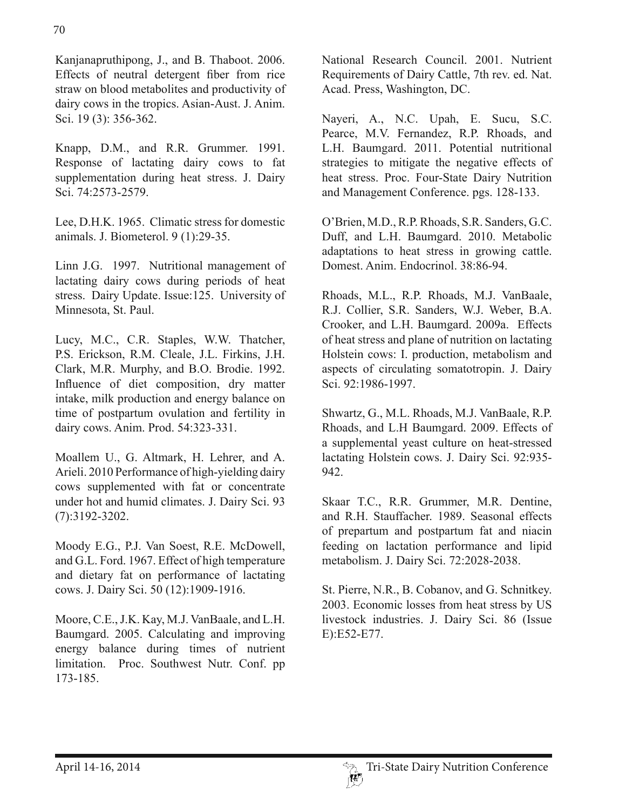Kanjanapruthipong, J., and B. Thaboot. 2006. Effects of neutral detergent fiber from rice straw on blood metabolites and productivity of dairy cows in the tropics. Asian-Aust. J. Anim. Sci. 19 (3): 356-362.

Knapp, D.M., and R.R. Grummer. 1991. Response of lactating dairy cows to fat supplementation during heat stress. J. Dairy Sci. 74:2573-2579.

Lee, D.H.K. 1965. Climatic stress for domestic animals. J. Biometerol. 9 (1):29-35.

Linn J.G. 1997. Nutritional management of lactating dairy cows during periods of heat stress. Dairy Update. Issue:125. University of Minnesota, St. Paul.

Lucy, M.C., C.R. Staples, W.W. Thatcher, P.S. Erickson, R.M. Cleale, J.L. Firkins, J.H. Clark, M.R. Murphy, and B.O. Brodie. 1992. Influence of diet composition, dry matter intake, milk production and energy balance on time of postpartum ovulation and fertility in dairy cows. Anim. Prod. 54:323-331.

Moallem U., G. Altmark, H. Lehrer, and A. Arieli. 2010 Performance of high-yielding dairy cows supplemented with fat or concentrate under hot and humid climates. J. Dairy Sci. 93 (7):3192-3202.

Moody E.G., P.J. Van Soest, R.E. McDowell, and G.L. Ford. 1967. Effect of high temperature and dietary fat on performance of lactating cows. J. Dairy Sci. 50 (12):1909-1916.

Moore, C.E., J.K. Kay, M.J. VanBaale, and L.H. Baumgard. 2005. Calculating and improving energy balance during times of nutrient limitation. Proc. Southwest Nutr. Conf. pp 173-185.

National Research Council. 2001. Nutrient Requirements of Dairy Cattle, 7th rev. ed. Nat. Acad. Press, Washington, DC.

Nayeri, A., N.C. Upah, E. Sucu, S.C. Pearce, M.V. Fernandez, R.P. Rhoads, and L.H. Baumgard. 2011. Potential nutritional strategies to mitigate the negative effects of heat stress. Proc. Four-State Dairy Nutrition and Management Conference. pgs. 128-133.

O'Brien, M.D., R.P. Rhoads, S.R. Sanders, G.C. Duff, and L.H. Baumgard. 2010. Metabolic adaptations to heat stress in growing cattle. Domest. Anim. Endocrinol. 38:86-94.

Rhoads, M.L., R.P. Rhoads, M.J. VanBaale, R.J. Collier, S.R. Sanders, W.J. Weber, B.A. Crooker, and L.H. Baumgard. 2009a. Effects of heat stress and plane of nutrition on lactating Holstein cows: I. production, metabolism and aspects of circulating somatotropin. J. Dairy Sci. 92:1986-1997.

Shwartz, G., M.L. Rhoads, M.J. VanBaale, R.P. Rhoads, and L.H Baumgard. 2009. Effects of a supplemental yeast culture on heat-stressed lactating Holstein cows. J. Dairy Sci. 92:935- 942.

Skaar T.C., R.R. Grummer, M.R. Dentine, and R.H. Stauffacher. 1989. Seasonal effects of prepartum and postpartum fat and niacin feeding on lactation performance and lipid metabolism. J. Dairy Sci. 72:2028-2038.

St. Pierre, N.R., B. Cobanov, and G. Schnitkey. 2003. Economic losses from heat stress by US livestock industries. J. Dairy Sci. 86 (Issue E):E52-E77.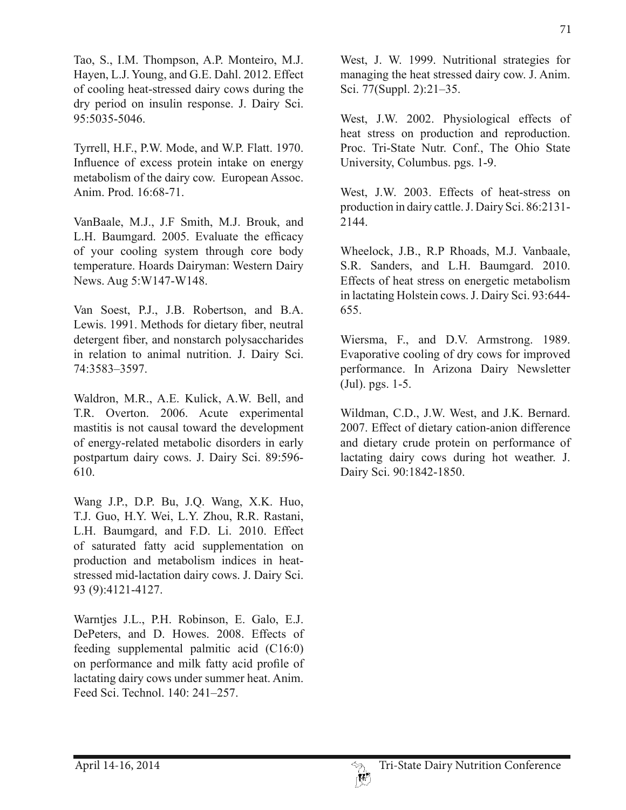Tao, S., I.M. Thompson, A.P. Monteiro, M.J. Hayen, L.J. Young, and G.E. Dahl. 2012. Effect of cooling heat-stressed dairy cows during the dry period on insulin response. J. Dairy Sci. 95:5035-5046.

Tyrrell, H.F., P.W. Mode, and W.P. Flatt. 1970. Influence of excess protein intake on energy metabolism of the dairy cow. European Assoc. Anim. Prod. 16:68-71.

VanBaale, M.J., J.F Smith, M.J. Brouk, and L.H. Baumgard. 2005. Evaluate the efficacy of your cooling system through core body temperature. Hoards Dairyman: Western Dairy News. Aug 5:W147-W148.

Van Soest, P.J., J.B. Robertson, and B.A. Lewis. 1991. Methods for dietary fiber, neutral detergent fiber, and nonstarch polysaccharides in relation to animal nutrition. J. Dairy Sci. 74:3583–3597.

Waldron, M.R., A.E. Kulick, A.W. Bell, and T.R. Overton. 2006. Acute experimental mastitis is not causal toward the development of energy-related metabolic disorders in early postpartum dairy cows. J. Dairy Sci. 89:596- 610.

Wang J.P., D.P. Bu, J.Q. Wang, X.K. Huo, T.J. Guo, H.Y. Wei, L.Y. Zhou, R.R. Rastani, L.H. Baumgard, and F.D. Li. 2010. Effect of saturated fatty acid supplementation on production and metabolism indices in heatstressed mid-lactation dairy cows. J. Dairy Sci. 93 (9):4121-4127.

Warntjes J.L., P.H. Robinson, E. Galo, E.J. DePeters, and D. Howes. 2008. Effects of feeding supplemental palmitic acid (C16:0) on performance and milk fatty acid profile of lactating dairy cows under summer heat. Anim. Feed Sci. Technol. 140: 241–257.

West, J. W. 1999. Nutritional strategies for managing the heat stressed dairy cow. J. Anim. Sci. 77(Suppl. 2):21–35.

West, J.W. 2002. Physiological effects of heat stress on production and reproduction. Proc. Tri-State Nutr. Conf., The Ohio State University, Columbus. pgs. 1-9.

West, J.W. 2003. Effects of heat-stress on production in dairy cattle. J. Dairy Sci. 86:2131- 2144.

Wheelock, J.B., R.P Rhoads, M.J. Vanbaale, S.R. Sanders, and L.H. Baumgard. 2010. Effects of heat stress on energetic metabolism in lactating Holstein cows. J. Dairy Sci. 93:644- 655.

Wiersma, F., and D.V. Armstrong. 1989. Evaporative cooling of dry cows for improved performance. In Arizona Dairy Newsletter (Jul). pgs. 1-5.

Wildman, C.D., J.W. West, and J.K. Bernard. 2007. Effect of dietary cation-anion difference and dietary crude protein on performance of lactating dairy cows during hot weather. J. Dairy Sci. 90:1842-1850.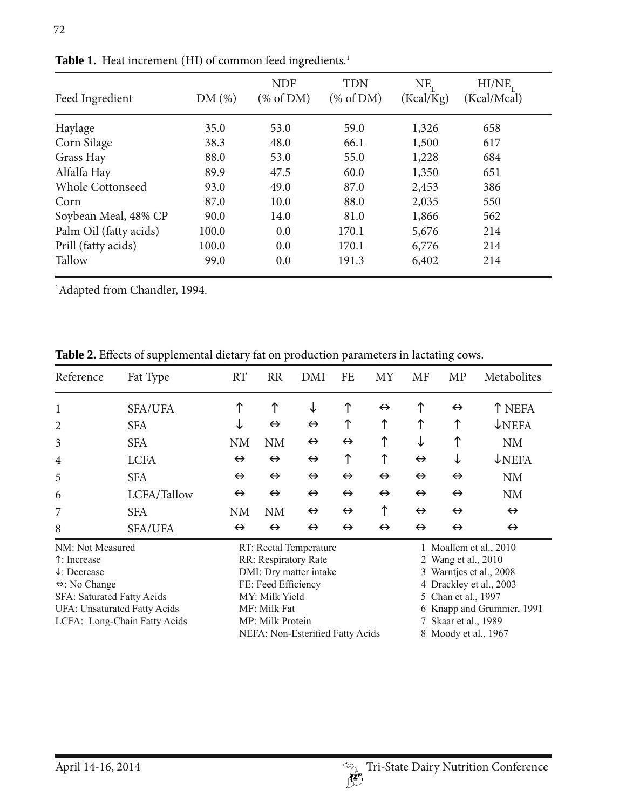| Feed Ingredient         | DM(%) | <b>NDF</b><br>% of DM) | <b>TDN</b><br>% of DM) | $NE_{t}$<br>(Kcal/Kg) | HI/NE <sub>r</sub><br>(Kcal/Mcal) |
|-------------------------|-------|------------------------|------------------------|-----------------------|-----------------------------------|
| Haylage                 | 35.0  | 53.0                   | 59.0                   | 1,326                 | 658                               |
| Corn Silage             | 38.3  | 48.0                   | 66.1                   | 1,500                 | 617                               |
| Grass Hay               | 88.0  | 53.0                   | 55.0                   | 1,228                 | 684                               |
| Alfalfa Hay             | 89.9  | 47.5                   | 60.0                   | 1,350                 | 651                               |
| <b>Whole Cottonseed</b> | 93.0  | 49.0                   | 87.0                   | 2,453                 | 386                               |
| Corn                    | 87.0  | 10.0                   | 88.0                   | 2,035                 | 550                               |
| Soybean Meal, 48% CP    | 90.0  | 14.0                   | 81.0                   | 1,866                 | 562                               |
| Palm Oil (fatty acids)  | 100.0 | 0.0                    | 170.1                  | 5,676                 | 214                               |
| Prill (fatty acids)     | 100.0 | 0.0                    | 170.1                  | 6,776                 | 214                               |
| Tallow                  | 99.0  | 0.0                    | 191.3                  | 6,402                 | 214                               |

Table 1. Heat increment (HI) of common feed ingredients.<sup>1</sup>

1 Adapted from Chandler, 1994.

**Table 2.** Effects of supplemental dietary fat on production parameters in lactating cows.

| Reference                              | Fat Type                         | <b>RT</b>         | <b>RR</b>                                      | DMI               | FE                   | MY                | MF                        | MP                                                | Metabolites       |  |
|----------------------------------------|----------------------------------|-------------------|------------------------------------------------|-------------------|----------------------|-------------------|---------------------------|---------------------------------------------------|-------------------|--|
|                                        | <b>SFA/UFA</b>                   |                   | ↑                                              | ↓                 | ↑                    | $\leftrightarrow$ | ↑                         | $\leftrightarrow$                                 | T NEFA            |  |
| 2                                      | <b>SFA</b>                       | ↓                 | $\leftrightarrow$                              | $\leftrightarrow$ | ↑                    | ↑                 | ↑                         | ↑                                                 | $\downarrow$ NEFA |  |
| 3                                      | <b>SFA</b>                       | <b>NM</b>         | <b>NM</b>                                      | $\leftrightarrow$ | $\leftrightarrow$    | ↑                 | ↓                         | ↑                                                 | <b>NM</b>         |  |
| 4                                      | <b>LCFA</b>                      | $\leftrightarrow$ | $\leftrightarrow$                              | $\leftrightarrow$ | ↑                    | ↑                 | $\leftrightarrow$         | ↓                                                 | $\downarrow$ NEFA |  |
| 5                                      | <b>SFA</b>                       | $\leftrightarrow$ | $\leftrightarrow$                              | $\leftrightarrow$ | $\leftrightarrow$    | $\leftrightarrow$ | $\leftrightarrow$         | $\leftrightarrow$                                 | <b>NM</b>         |  |
| 6                                      | LCFA/Tallow                      | $\leftrightarrow$ | $\leftrightarrow$                              | $\leftrightarrow$ | $\leftrightarrow$    | $\leftrightarrow$ | $\leftrightarrow$         | $\leftrightarrow$                                 | <b>NM</b>         |  |
| 7                                      | <b>SFA</b>                       | <b>NM</b>         | <b>NM</b>                                      | $\leftrightarrow$ | $\leftrightarrow$    | ↑                 | $\leftrightarrow$         | $\leftrightarrow$                                 | $\leftrightarrow$ |  |
| 8                                      | <b>SFA/UFA</b>                   | $\leftrightarrow$ | $\leftrightarrow$                              | $\leftrightarrow$ | $\leftrightarrow$    | $\leftrightarrow$ | $\leftrightarrow$         | $\leftrightarrow$                                 | $\leftrightarrow$ |  |
| NM: Not Measured                       |                                  |                   | RT: Rectal Temperature                         |                   |                      |                   | 1 Moallem et al., 2010    |                                                   |                   |  |
| ↑: Increase<br>$\downarrow$ : Decrease |                                  |                   | RR: Respiratory Rate<br>DMI: Dry matter intake |                   |                      |                   |                           | 2 Wang et al., 2010<br>Warntjes et al., 2008<br>3 |                   |  |
| $\leftrightarrow$ : No Change          |                                  |                   | FE: Feed Efficiency                            |                   |                      |                   | 4 Drackley et al., 2003   |                                                   |                   |  |
| SFA: Saturated Fatty Acids             |                                  |                   | MY: Milk Yield                                 |                   |                      |                   | 5 Chan et al., 1997       |                                                   |                   |  |
| <b>UFA: Unsaturated Fatty Acids</b>    |                                  |                   | MF: Milk Fat                                   |                   |                      |                   | 6 Knapp and Grummer, 1991 |                                                   |                   |  |
| LCFA: Long-Chain Fatty Acids           |                                  |                   | MP: Milk Protein                               |                   |                      |                   | 7 Skaar et al., 1989      |                                                   |                   |  |
|                                        | NEFA: Non-Esterified Fatty Acids |                   |                                                |                   | 8 Moody et al., 1967 |                   |                           |                                                   |                   |  |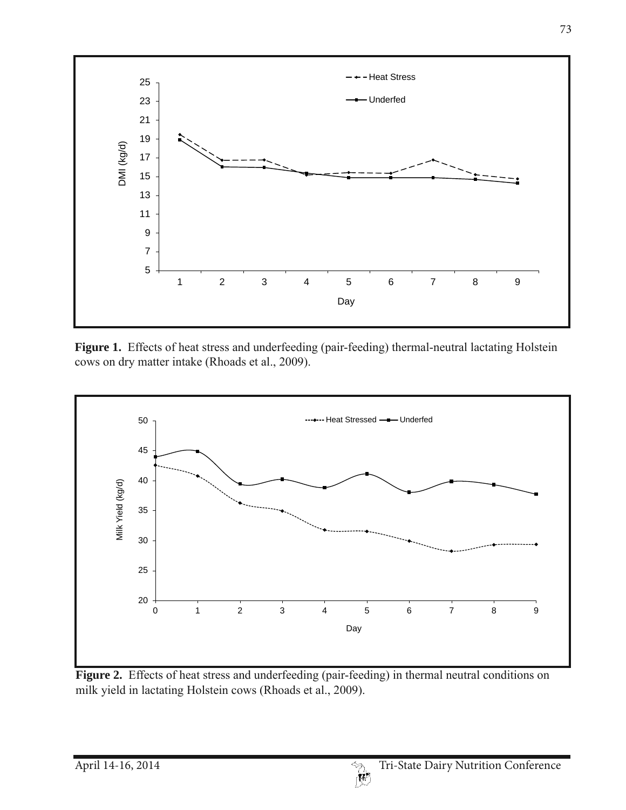

Figure 1. Effects of heat stress and underfeeding (pair-feeding) thermal-neutral lactating Holstein cows on dry matter intake (Rhoads et al., 2009).



**Figure 2.** Effects of heat stress and underfeeding (pair-feeding) in thermal neutral conditions on milk yield in lactating Holstein cows (Rhoads et al., 2009).